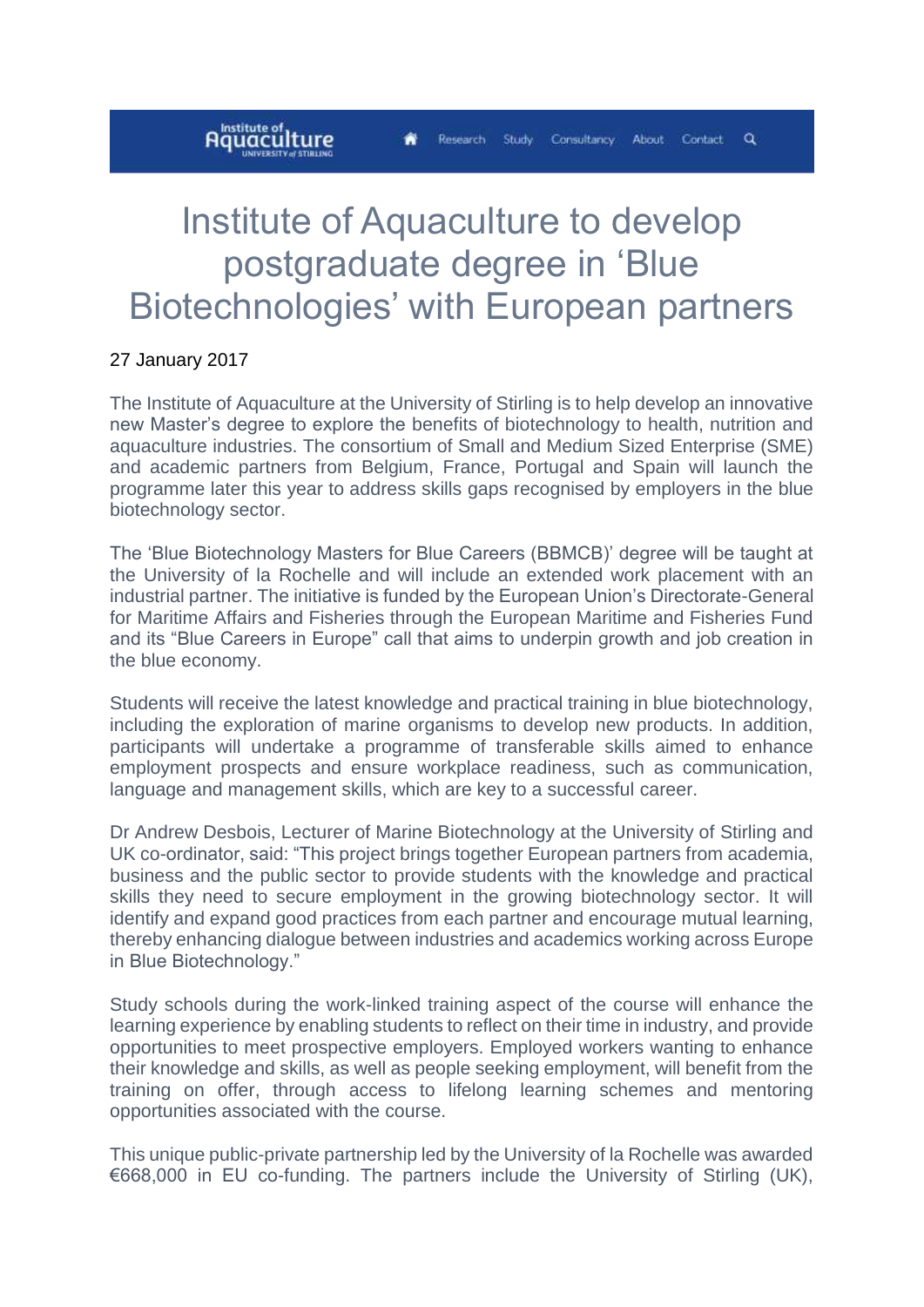ä.

## **A**lnstitute of **I**

## Institute of Aquaculture to develop postgraduate degree in 'Blue Biotechnologies' with European partners

## 27 January 2017

The Institute of Aquaculture at the University of Stirling is to help develop an innovative new Master's degree to explore the benefits of biotechnology to health, nutrition and aquaculture industries. The consortium of Small and Medium Sized Enterprise (SME) and academic partners from Belgium, France, Portugal and Spain will launch the programme later this year to address skills gaps recognised by employers in the blue biotechnology sector.

The 'Blue Biotechnology Masters for Blue Careers (BBMCB)' degree will be taught at the University of la Rochelle and will include an extended work placement with an industrial partner. The initiative is funded by the European Union's Directorate-General for Maritime Affairs and Fisheries through the European Maritime and Fisheries Fund and its "Blue Careers in Europe" call that aims to underpin growth and job creation in the blue economy.

Students will receive the latest knowledge and practical training in blue biotechnology, including the exploration of marine organisms to develop new products. In addition, participants will undertake a programme of transferable skills aimed to enhance employment prospects and ensure workplace readiness, such as communication, language and management skills, which are key to a successful career.

Dr Andrew Desbois, Lecturer of Marine Biotechnology at the University of Stirling and UK co-ordinator, said: "This project brings together European partners from academia, business and the public sector to provide students with the knowledge and practical skills they need to secure employment in the growing biotechnology sector. It will identify and expand good practices from each partner and encourage mutual learning, thereby enhancing dialogue between industries and academics working across Europe in Blue Biotechnology."

Study schools during the work-linked training aspect of the course will enhance the learning experience by enabling students to reflect on their time in industry, and provide opportunities to meet prospective employers. Employed workers wanting to enhance their knowledge and skills, as well as people seeking employment, will benefit from the training on offer, through access to lifelong learning schemes and mentoring opportunities associated with the course.

This unique public-private partnership led by the University of la Rochelle was awarded €668,000 in EU co-funding. The partners include the University of Stirling (UK),